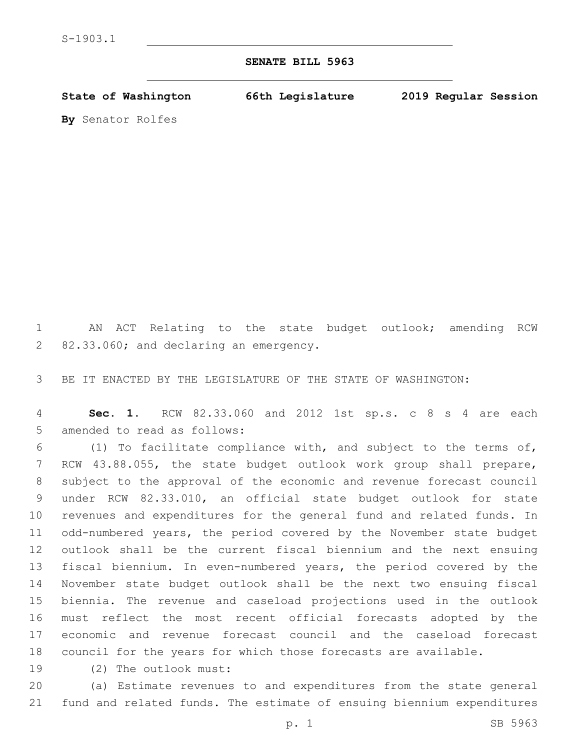## **SENATE BILL 5963**

**State of Washington 66th Legislature 2019 Regular Session**

**By** Senator Rolfes

 AN ACT Relating to the state budget outlook; amending RCW 82.33.060; and declaring an emergency.

BE IT ENACTED BY THE LEGISLATURE OF THE STATE OF WASHINGTON:

 **Sec. 1.** RCW 82.33.060 and 2012 1st sp.s. c 8 s 4 are each 5 amended to read as follows:

 (1) To facilitate compliance with, and subject to the terms of, RCW 43.88.055, the state budget outlook work group shall prepare, subject to the approval of the economic and revenue forecast council under RCW 82.33.010, an official state budget outlook for state revenues and expenditures for the general fund and related funds. In odd-numbered years, the period covered by the November state budget outlook shall be the current fiscal biennium and the next ensuing fiscal biennium. In even-numbered years, the period covered by the November state budget outlook shall be the next two ensuing fiscal biennia. The revenue and caseload projections used in the outlook must reflect the most recent official forecasts adopted by the economic and revenue forecast council and the caseload forecast council for the years for which those forecasts are available.

19 (2) The outlook must:

 (a) Estimate revenues to and expenditures from the state general fund and related funds. The estimate of ensuing biennium expenditures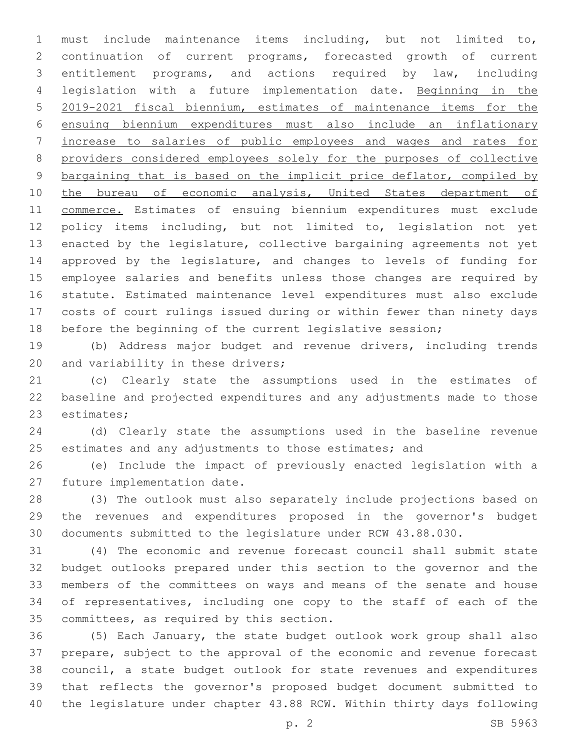must include maintenance items including, but not limited to, continuation of current programs, forecasted growth of current entitlement programs, and actions required by law, including legislation with a future implementation date. Beginning in the 2019-2021 fiscal biennium, estimates of maintenance items for the ensuing biennium expenditures must also include an inflationary increase to salaries of public employees and wages and rates for providers considered employees solely for the purposes of collective bargaining that is based on the implicit price deflator, compiled by 10 the bureau of economic analysis, United States department of 11 commerce. Estimates of ensuing biennium expenditures must exclude policy items including, but not limited to, legislation not yet enacted by the legislature, collective bargaining agreements not yet approved by the legislature, and changes to levels of funding for employee salaries and benefits unless those changes are required by statute. Estimated maintenance level expenditures must also exclude costs of court rulings issued during or within fewer than ninety days before the beginning of the current legislative session;

 (b) Address major budget and revenue drivers, including trends 20 and variability in these drivers;

 (c) Clearly state the assumptions used in the estimates of baseline and projected expenditures and any adjustments made to those 23 estimates;

 (d) Clearly state the assumptions used in the baseline revenue 25 estimates and any adjustments to those estimates; and

 (e) Include the impact of previously enacted legislation with a 27 future implementation date.

 (3) The outlook must also separately include projections based on the revenues and expenditures proposed in the governor's budget documents submitted to the legislature under RCW 43.88.030.

 (4) The economic and revenue forecast council shall submit state budget outlooks prepared under this section to the governor and the members of the committees on ways and means of the senate and house of representatives, including one copy to the staff of each of the 35 committees, as required by this section.

 (5) Each January, the state budget outlook work group shall also prepare, subject to the approval of the economic and revenue forecast council, a state budget outlook for state revenues and expenditures that reflects the governor's proposed budget document submitted to the legislature under chapter 43.88 RCW. Within thirty days following

p. 2 SB 5963